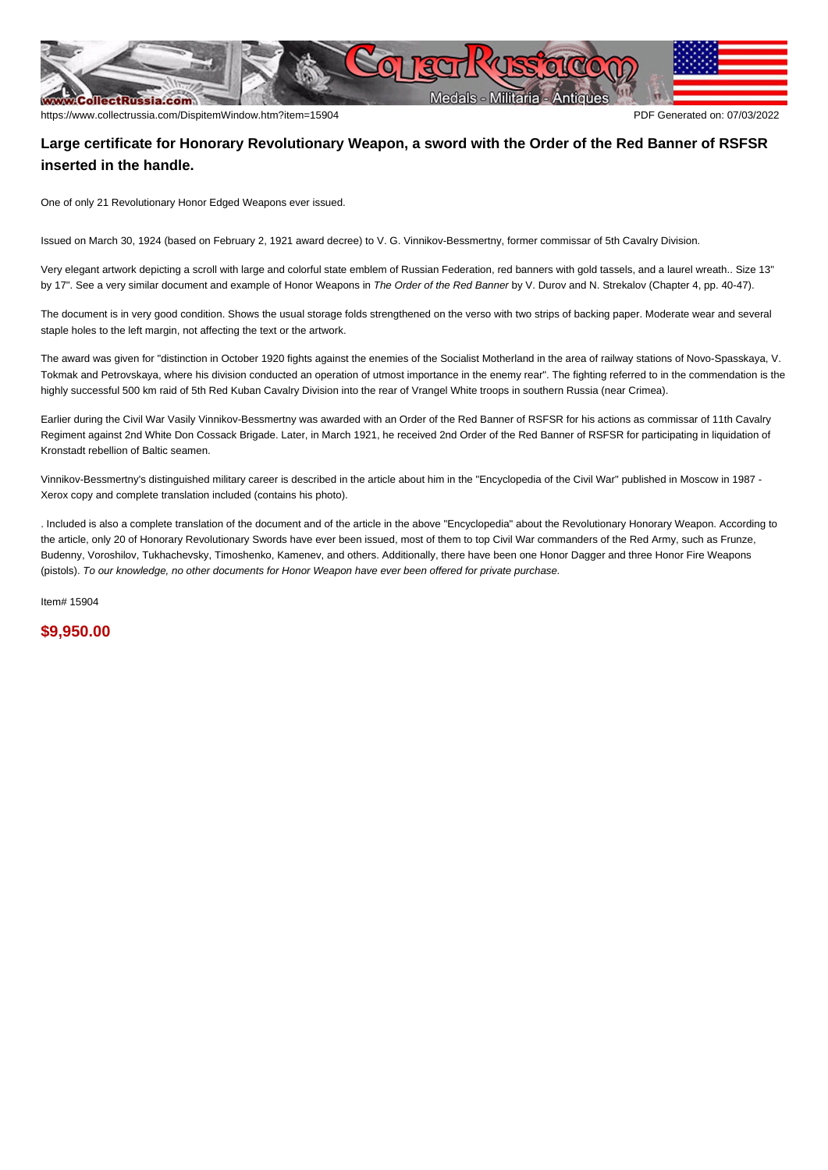

## **Large certificate for Honorary Revolutionary Weapon, a sword with the Order of the Red Banner of RSFSR inserted in the handle.**

One of only 21 Revolutionary Honor Edged Weapons ever issued.

Issued on March 30, 1924 (based on February 2, 1921 award decree) to V. G. Vinnikov-Bessmertny, former commissar of 5th Cavalry Division.

Very elegant artwork depicting a scroll with large and colorful state emblem of Russian Federation, red banners with gold tassels, and a laurel wreath.. Size 13" by 17". See a very similar document and example of Honor Weapons in The Order of the Red Banner by V. Durov and N. Strekalov (Chapter 4, pp. 40-47).

The document is in very good condition. Shows the usual storage folds strengthened on the verso with two strips of backing paper. Moderate wear and several staple holes to the left margin, not affecting the text or the artwork.

The award was given for "distinction in October 1920 fights against the enemies of the Socialist Motherland in the area of railway stations of Novo-Spasskaya, V. Tokmak and Petrovskaya, where his division conducted an operation of utmost importance in the enemy rear". The fighting referred to in the commendation is the highly successful 500 km raid of 5th Red Kuban Cavalry Division into the rear of Vrangel White troops in southern Russia (near Crimea).

Earlier during the Civil War Vasily Vinnikov-Bessmertny was awarded with an Order of the Red Banner of RSFSR for his actions as commissar of 11th Cavalry Regiment against 2nd White Don Cossack Brigade. Later, in March 1921, he received 2nd Order of the Red Banner of RSFSR for participating in liquidation of Kronstadt rebellion of Baltic seamen.

Vinnikov-Bessmertny's distinguished military career is described in the article about him in the "Encyclopedia of the Civil War" published in Moscow in 1987 - Xerox copy and complete translation included (contains his photo).

. Included is also a complete translation of the document and of the article in the above "Encyclopedia" about the Revolutionary Honorary Weapon. According to the article, only 20 of Honorary Revolutionary Swords have ever been issued, most of them to top Civil War commanders of the Red Army, such as Frunze, Budenny, Voroshilov, Tukhachevsky, Timoshenko, Kamenev, and others. Additionally, there have been one Honor Dagger and three Honor Fire Weapons (pistols). To our knowledge, no other documents for Honor Weapon have ever been offered for private purchase.

Item# 15904

**\$9,950.00**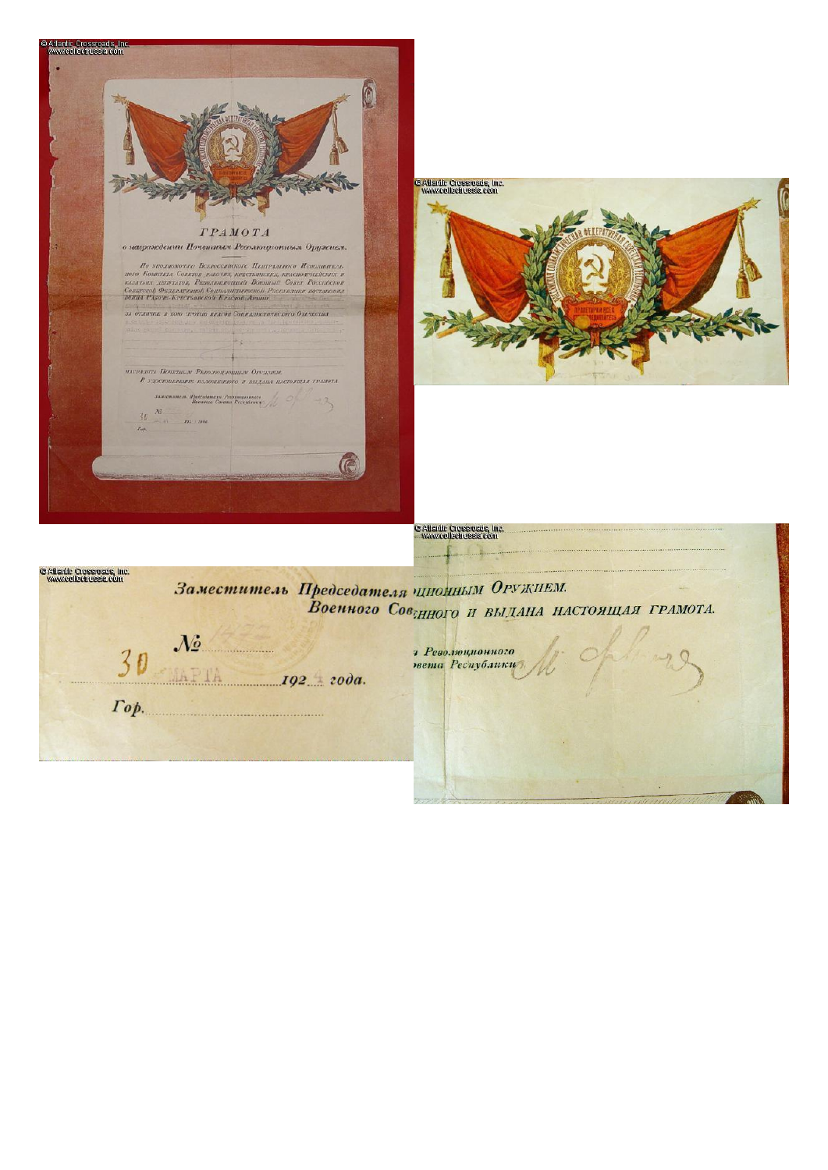

 $IQ2 = 200a$ .

 $\Gamma$ op.

т Революционного нета Республики